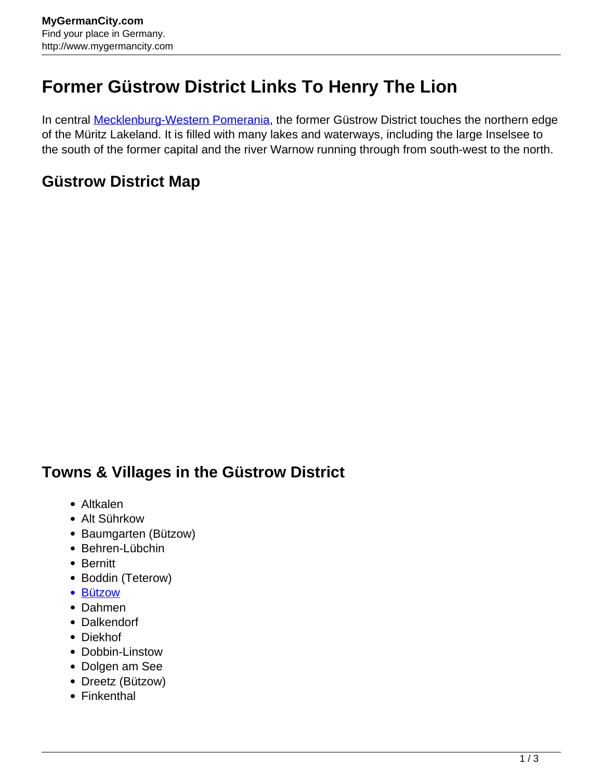## **Former Güstrow District Links To Henry The Lion**

In central **Mecklenburg-Western Pomerania**, the former Güstrow District touches the northern edge of the Müritz Lakeland. It is filled with many lakes and waterways, including the large Inselsee to the south of the former capital and the river Warnow running through from south-west to the north.

## **Güstrow District Map**

## **Towns & Villages in the Güstrow District**

- Altkalen
- Alt Sührkow
- Baumgarten (Bützow)
- Behren-Lübchin
- Bernitt
- Boddin (Teterow)
- [Bützow](http://www.mygermancity.com/buetzow)
- Dahmen
- Dalkendorf
- Diekhof
- Dobbin-Linstow
- Dolgen am See
- Dreetz (Bützow)
- Finkenthal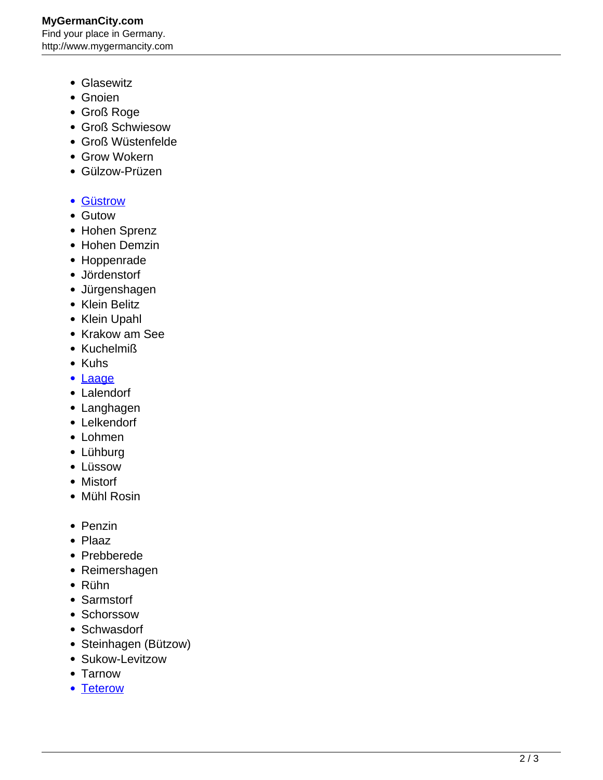**MyGermanCity.com** Find your place in Germany. http://www.mygermancity.com

- Glasewitz
- Gnoien
- Groß Roge
- Groß Schwiesow
- Groß Wüstenfelde
- Grow Wokern
- Gülzow-Prüzen
- [Güstrow](http://www.mygermancity.com/guestrow)
- Gutow
- Hohen Sprenz
- Hohen Demzin
- Hoppenrade
- Jördenstorf
- Jürgenshagen
- Klein Belitz
- Klein Upahl
- Krakow am See
- Kuchelmiß
- Kuhs
- [Laage](http://www.mygermancity.com/laage)
- Lalendorf
- Langhagen
- Lelkendorf
- Lohmen
- Lühburg
- Lüssow
- Mistorf
- Mühl Rosin
- Penzin
- Plaaz
- Prebberede
- Reimershagen
- Rühn
- Sarmstorf
- Schorssow
- Schwasdorf
- Steinhagen (Bützow)
- Sukow-Levitzow
- Tarnow
- [Teterow](http://www.mygermancity.com/teterow)